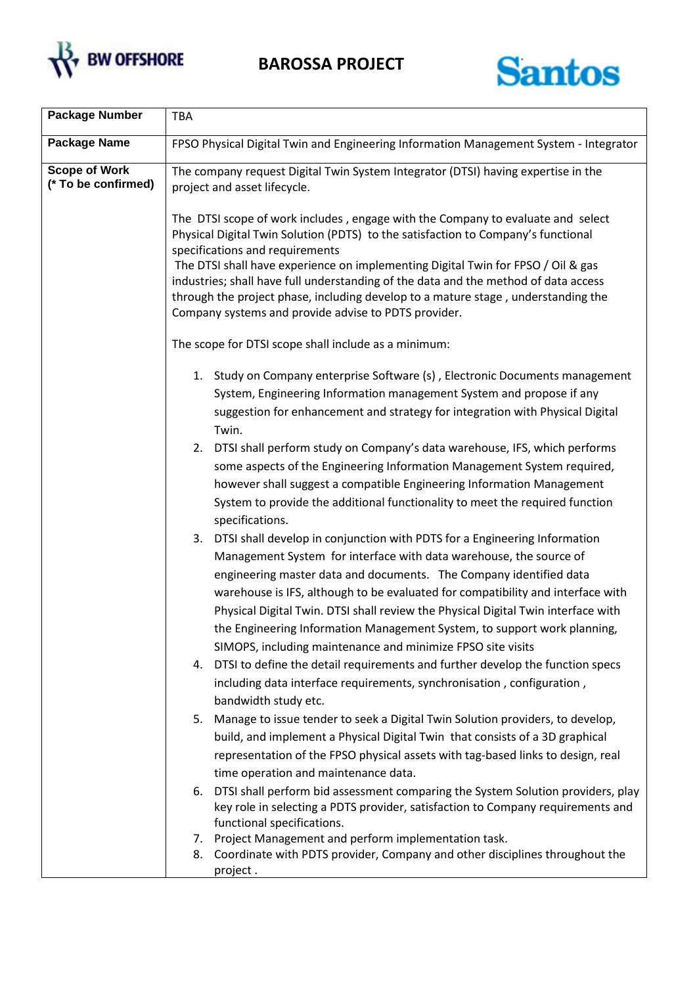

**BAROSSA PROJECT**



| <b>Package Number</b>                       | <b>TBA</b>                                                                                                                                                                                                                                                                                                                                                                                                                                                                                                                                                                                                                                                                                                                                                                                                        |
|---------------------------------------------|-------------------------------------------------------------------------------------------------------------------------------------------------------------------------------------------------------------------------------------------------------------------------------------------------------------------------------------------------------------------------------------------------------------------------------------------------------------------------------------------------------------------------------------------------------------------------------------------------------------------------------------------------------------------------------------------------------------------------------------------------------------------------------------------------------------------|
| Package Name                                | FPSO Physical Digital Twin and Engineering Information Management System - Integrator                                                                                                                                                                                                                                                                                                                                                                                                                                                                                                                                                                                                                                                                                                                             |
| <b>Scope of Work</b><br>(* To be confirmed) | The company request Digital Twin System Integrator (DTSI) having expertise in the<br>project and asset lifecycle.                                                                                                                                                                                                                                                                                                                                                                                                                                                                                                                                                                                                                                                                                                 |
|                                             | The DTSI scope of work includes, engage with the Company to evaluate and select<br>Physical Digital Twin Solution (PDTS) to the satisfaction to Company's functional<br>specifications and requirements<br>The DTSI shall have experience on implementing Digital Twin for FPSO / Oil & gas<br>industries; shall have full understanding of the data and the method of data access<br>through the project phase, including develop to a mature stage, understanding the<br>Company systems and provide advise to PDTS provider.                                                                                                                                                                                                                                                                                   |
|                                             | The scope for DTSI scope shall include as a minimum:                                                                                                                                                                                                                                                                                                                                                                                                                                                                                                                                                                                                                                                                                                                                                              |
|                                             | 1. Study on Company enterprise Software (s), Electronic Documents management<br>System, Engineering Information management System and propose if any<br>suggestion for enhancement and strategy for integration with Physical Digital<br>Twin.<br>2. DTSI shall perform study on Company's data warehouse, IFS, which performs<br>some aspects of the Engineering Information Management System required,<br>however shall suggest a compatible Engineering Information Management<br>System to provide the additional functionality to meet the required function<br>specifications.<br>3. DTSI shall develop in conjunction with PDTS for a Engineering Information<br>Management System for interface with data warehouse, the source of<br>engineering master data and documents. The Company identified data |
|                                             | warehouse is IFS, although to be evaluated for compatibility and interface with<br>Physical Digital Twin. DTSI shall review the Physical Digital Twin interface with<br>the Engineering Information Management System, to support work planning,<br>SIMOPS, including maintenance and minimize FPSO site visits<br>4. DTSI to define the detail requirements and further develop the function specs<br>including data interface requirements, synchronisation, configuration,<br>bandwidth study etc.                                                                                                                                                                                                                                                                                                             |
|                                             | 5. Manage to issue tender to seek a Digital Twin Solution providers, to develop,<br>build, and implement a Physical Digital Twin that consists of a 3D graphical<br>representation of the FPSO physical assets with tag-based links to design, real<br>time operation and maintenance data.                                                                                                                                                                                                                                                                                                                                                                                                                                                                                                                       |
|                                             | 6. DTSI shall perform bid assessment comparing the System Solution providers, play<br>key role in selecting a PDTS provider, satisfaction to Company requirements and<br>functional specifications.<br>7. Project Management and perform implementation task.<br>8. Coordinate with PDTS provider, Company and other disciplines throughout the<br>project.                                                                                                                                                                                                                                                                                                                                                                                                                                                       |